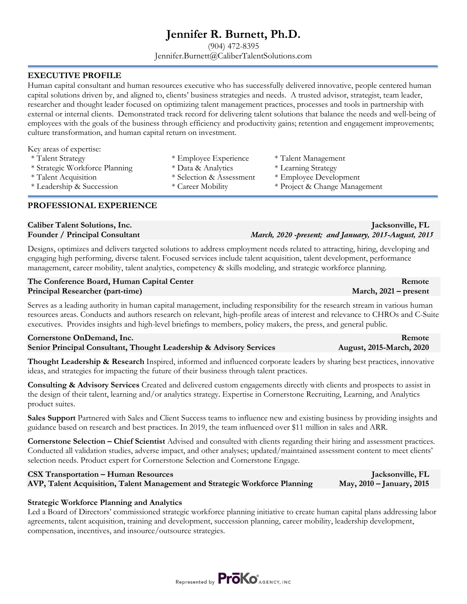## **Jennifer R. Burnett, Ph.D.**

(904) 472-8395 Jennifer.Burnett@CaliberTalentSolutions.com

### **EXECUTIVE PROFILE**

Human capital consultant and human resources executive who has successfully delivered innovative, people centered human capital solutions driven by, and aligned to, clients' business strategies and needs. A trusted advisor, strategist, team leader, researcher and thought leader focused on optimizing talent management practices, processes and tools in partnership with external or internal clients. Demonstrated track record for delivering talent solutions that balance the needs and well-being of employees with the goals of the business through efficiency and productivity gains; retention and engagement improvements; culture transformation, and human capital return on investment.

|  |  | Key areas of expertise: |
|--|--|-------------------------|
|--|--|-------------------------|

- \* Talent Strategy \* Employee Experience \* Talent Management
- \* Strategic Workforce Planning \* Data & Analytics \* Learning Strategy
- 
- 

### **PROFESSIONAL EXPERIENCE**

## **Caliber Talent Solutions, Inc.** Jacksonville, FL **Jacksonville, FL Jacksonville, FL**

Designs, optimizes and delivers targeted solutions to address employment needs related to attracting, hiring, developing and engaging high performing, diverse talent. Focused services include talent acquisition, talent development, performance management, career mobility, talent analytics, competency & skills modeling, and strategic workforce planning.

| The Conference Board, Human Capital Center | Remote                  |
|--------------------------------------------|-------------------------|
| <b>Principal Researcher (part-time)</b>    | March, $2021$ – present |

Serves as a leading authority in human capital management, including responsibility for the research stream in various human resources areas. Conducts and authors research on relevant, high-profile areas of interest and relevance to CHROs and C-Suite executives. Provides insights and high-level briefings to members, policy makers, the press, and general public.

### **Cornerstone OnDemand, Inc.** Remote **Senior Principal Consultant, Thought Leadership & Advisory Services August, 2015-March, 2020**

**Thought Leadership & Research** Inspired, informed and influenced corporate leaders by sharing best practices, innovative ideas, and strategies for impacting the future of their business through talent practices.

**Consulting & Advisory Services** Created and delivered custom engagements directly with clients and prospects to assist in the design of their talent, learning and/or analytics strategy. Expertise in Cornerstone Recruiting, Learning, and Analytics product suites.

**Sales Support** Partnered with Sales and Client Success teams to influence new and existing business by providing insights and guidance based on research and best practices. In 2019, the team influenced over \$11 million in sales and ARR.

**Cornerstone Selection – Chief Scientist** Advised and consulted with clients regarding their hiring and assessment practices. Conducted all validation studies, adverse impact, and other analyses; updated/maintained assessment content to meet clients' selection needs. Product expert for Cornerstone Selection and Cornerstone Engage.

### **CSX Transportation – Human Resources Jacksonville, FL AVP, Talent Acquisition, Talent Management and Strategic Workforce Planning May, 2010 – January, 2015**

### **Strategic Workforce Planning and Analytics**

Led a Board of Directors' commissioned strategic workforce planning initiative to create human capital plans addressing labor agreements, talent acquisition, training and development, succession planning, career mobility, leadership development, compensation, incentives, and insource/outsource strategies.



# **Founder / Principal Consultant** *March, 2020 -present; and January, 2015-August, 2015*

\* Talent Acquisition \* Selection & Assessment \* Employee Development \* Leadership & Succession \* Career Mobility \* Project & Change Management

- 
- 
-